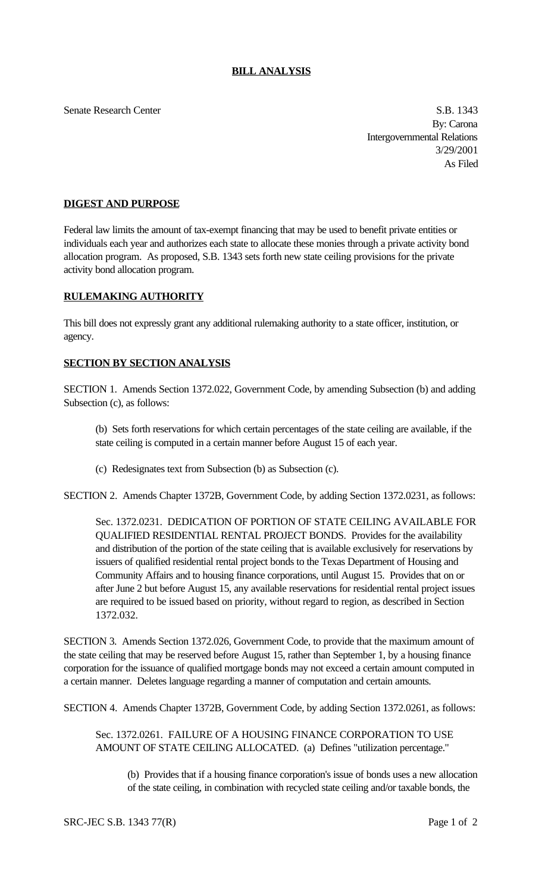## **BILL ANALYSIS**

Senate Research Center S.B. 1343

By: Carona Intergovernmental Relations 3/29/2001 As Filed

## **DIGEST AND PURPOSE**

Federal law limits the amount of tax-exempt financing that may be used to benefit private entities or individuals each year and authorizes each state to allocate these monies through a private activity bond allocation program. As proposed, S.B. 1343 sets forth new state ceiling provisions for the private activity bond allocation program.

## **RULEMAKING AUTHORITY**

This bill does not expressly grant any additional rulemaking authority to a state officer, institution, or agency.

## **SECTION BY SECTION ANALYSIS**

SECTION 1. Amends Section 1372.022, Government Code, by amending Subsection (b) and adding Subsection (c), as follows:

- (b) Sets forth reservations for which certain percentages of the state ceiling are available, if the state ceiling is computed in a certain manner before August 15 of each year.
- (c) Redesignates text from Subsection (b) as Subsection (c).

SECTION 2. Amends Chapter 1372B, Government Code, by adding Section 1372.0231, as follows:

Sec. 1372.0231. DEDICATION OF PORTION OF STATE CEILING AVAILABLE FOR QUALIFIED RESIDENTIAL RENTAL PROJECT BONDS. Provides for the availability and distribution of the portion of the state ceiling that is available exclusively for reservations by issuers of qualified residential rental project bonds to the Texas Department of Housing and Community Affairs and to housing finance corporations, until August 15. Provides that on or after June 2 but before August 15, any available reservations for residential rental project issues are required to be issued based on priority, without regard to region, as described in Section 1372.032.

SECTION 3. Amends Section 1372.026, Government Code, to provide that the maximum amount of the state ceiling that may be reserved before August 15, rather than September 1, by a housing finance corporation for the issuance of qualified mortgage bonds may not exceed a certain amount computed in a certain manner. Deletes language regarding a manner of computation and certain amounts.

SECTION 4. Amends Chapter 1372B, Government Code, by adding Section 1372.0261, as follows:

Sec. 1372.0261. FAILURE OF A HOUSING FINANCE CORPORATION TO USE AMOUNT OF STATE CEILING ALLOCATED. (a) Defines "utilization percentage."

(b) Provides that if a housing finance corporation's issue of bonds uses a new allocation of the state ceiling, in combination with recycled state ceiling and/or taxable bonds, the